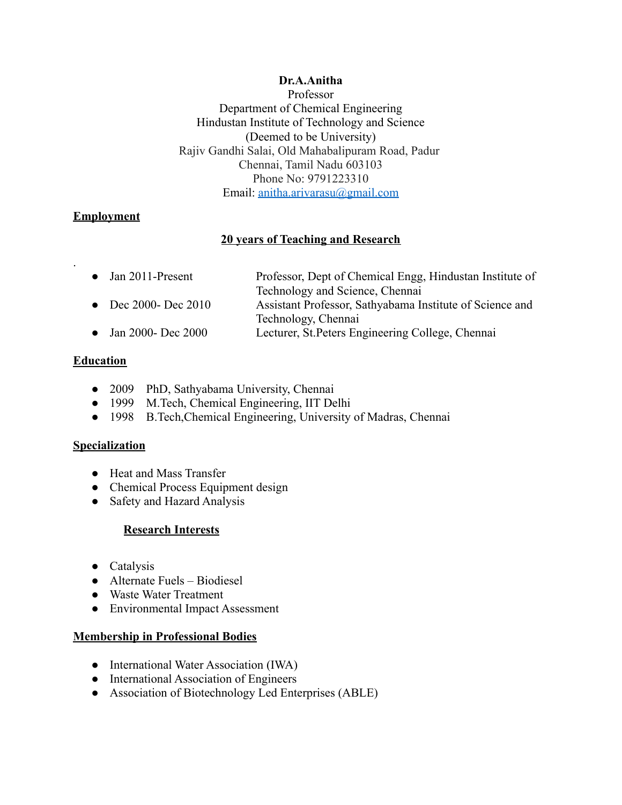#### **Dr.A.Anitha**

Professor Department of Chemical Engineering Hindustan Institute of Technology and Science (Deemed to be University) Rajiv Gandhi Salai, Old Mahabalipuram Road, Padur Chennai, Tamil Nadu 603103 Phone No: 9791223310 Email: [anitha.arivarasu@gmail.com](mailto:anitha.arivarasu@gmail.com)

# **Employment**

.

# **20 years of Teaching and Research**

| $\bullet$ Jan 2011-Present | Professor, Dept of Chemical Engg, Hindustan Institute of |
|----------------------------|----------------------------------------------------------|
|                            | Technology and Science, Chennai                          |
| • Dec 2000- Dec 2010       | Assistant Professor, Sathyabama Institute of Science and |
|                            | Technology, Chennai                                      |
| • Jan 2000- Dec 2000       | Lecturer, St. Peters Engineering College, Chennai        |

## **Education**

- 2009 PhD, Sathyabama University, Chennai
- 1999 M.Tech, Chemical Engineering, IIT Delhi
- 1998 B.Tech,Chemical Engineering, University of Madras, Chennai

## **Specialization**

- Heat and Mass Transfer
- Chemical Process Equipment design
- Safety and Hazard Analysis

# **Research Interests**

- Catalysis
- Alternate Fuels Biodiesel
- Waste Water Treatment
- Environmental Impact Assessment

## **Membership in Professional Bodies**

- International Water Association (IWA)
- International Association of Engineers
- Association of Biotechnology Led Enterprises (ABLE)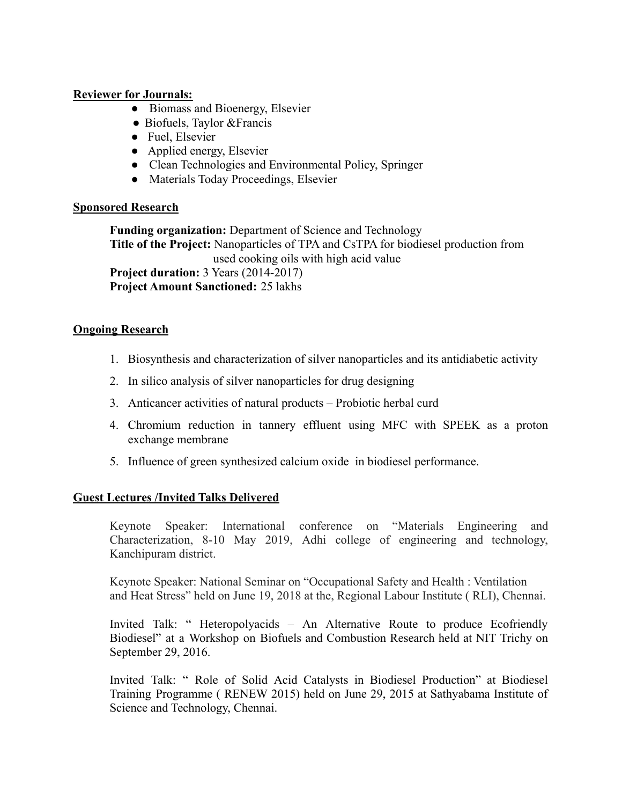#### **Reviewer for Journals:**

- Biomass and Bioenergy, Elsevier
- Biofuels, Taylor & Francis
- Fuel, Elsevier
- Applied energy, Elsevier
- Clean Technologies and Environmental Policy, Springer
- Materials Today Proceedings, Elsevier

## **Sponsored Research**

**Funding organization:** Department of Science and Technology **Title of the Project:** Nanoparticles of TPA and CsTPA for biodiesel production from used cooking oils with high acid value **Project duration:** 3 Years (2014-2017) **Project Amount Sanctioned:** 25 lakhs

## **Ongoing Research**

- 1. Biosynthesis and characterization of silver nanoparticles and its antidiabetic activity
- 2. In silico analysis of silver nanoparticles for drug designing
- 3. Anticancer activities of natural products Probiotic herbal curd
- 4. Chromium reduction in tannery effluent using MFC with SPEEK as a proton exchange membrane
- 5. Influence of green synthesized calcium oxide in biodiesel performance.

## **Guest Lectures /Invited Talks Delivered**

Keynote Speaker: International conference on "Materials Engineering and Characterization, 8-10 May 2019, Adhi college of engineering and technology, Kanchipuram district.

Keynote Speaker: National Seminar on "Occupational Safety and Health : Ventilation and Heat Stress" held on June 19, 2018 at the, Regional Labour Institute ( RLI), Chennai.

Invited Talk: " Heteropolyacids – An Alternative Route to produce Ecofriendly Biodiesel" at a Workshop on Biofuels and Combustion Research held at NIT Trichy on September 29, 2016.

Invited Talk: " Role of Solid Acid Catalysts in Biodiesel Production" at Biodiesel Training Programme ( RENEW 2015) held on June 29, 2015 at Sathyabama Institute of Science and Technology, Chennai.